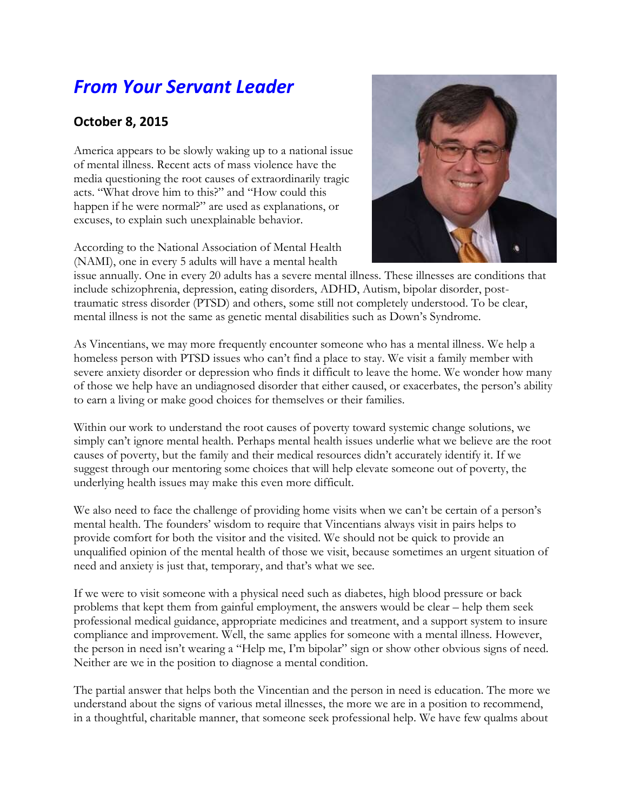## *From Your Servant Leader*

## **October 8, 2015**

America appears to be slowly waking up to a national issue of mental illness. Recent acts of mass violence have the media questioning the root causes of extraordinarily tragic acts. "What drove him to this?" and "How could this happen if he were normal?" are used as explanations, or excuses, to explain such unexplainable behavior.

According to the National Association of Mental Health (NAMI), one in every 5 adults will have a mental health



issue annually. One in every 20 adults has a severe mental illness. These illnesses are conditions that include schizophrenia, depression, eating disorders, ADHD, Autism, bipolar disorder, posttraumatic stress disorder (PTSD) and others, some still not completely understood. To be clear, mental illness is not the same as genetic mental disabilities such as Down's Syndrome.

As Vincentians, we may more frequently encounter someone who has a mental illness. We help a homeless person with PTSD issues who can't find a place to stay. We visit a family member with severe anxiety disorder or depression who finds it difficult to leave the home. We wonder how many of those we help have an undiagnosed disorder that either caused, or exacerbates, the person's ability to earn a living or make good choices for themselves or their families.

Within our work to understand the root causes of poverty toward systemic change solutions, we simply can't ignore mental health. Perhaps mental health issues underlie what we believe are the root causes of poverty, but the family and their medical resources didn't accurately identify it. If we suggest through our mentoring some choices that will help elevate someone out of poverty, the underlying health issues may make this even more difficult.

We also need to face the challenge of providing home visits when we can't be certain of a person's mental health. The founders' wisdom to require that Vincentians always visit in pairs helps to provide comfort for both the visitor and the visited. We should not be quick to provide an unqualified opinion of the mental health of those we visit, because sometimes an urgent situation of need and anxiety is just that, temporary, and that's what we see.

If we were to visit someone with a physical need such as diabetes, high blood pressure or back problems that kept them from gainful employment, the answers would be clear – help them seek professional medical guidance, appropriate medicines and treatment, and a support system to insure compliance and improvement. Well, the same applies for someone with a mental illness. However, the person in need isn't wearing a "Help me, I'm bipolar" sign or show other obvious signs of need. Neither are we in the position to diagnose a mental condition.

The partial answer that helps both the Vincentian and the person in need is education. The more we understand about the signs of various metal illnesses, the more we are in a position to recommend, in a thoughtful, charitable manner, that someone seek professional help. We have few qualms about